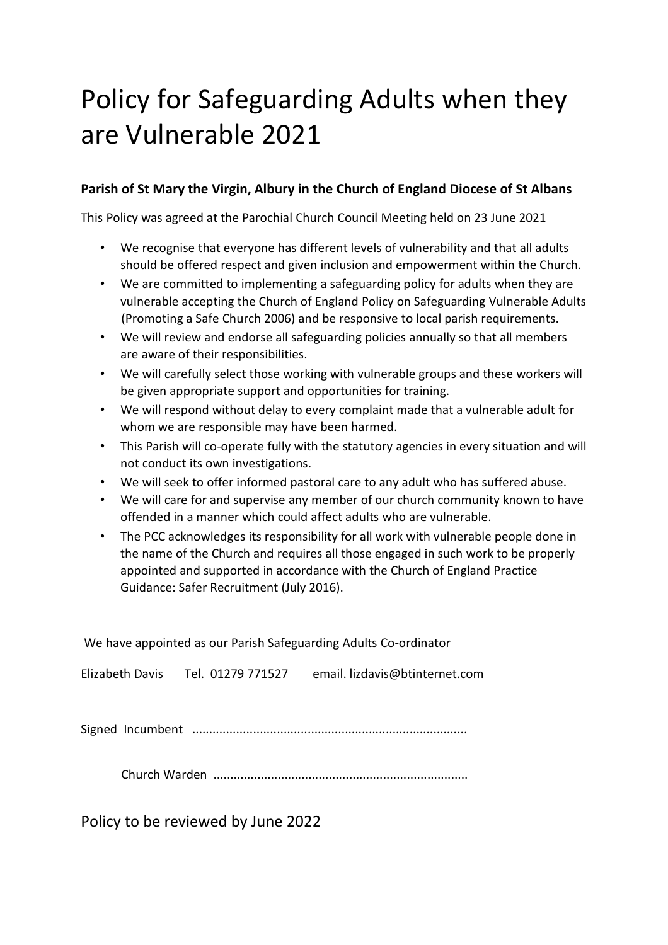# Policy for Safeguarding Adults when they are Vulnerable 2021

# **Parish of St Mary the Virgin, Albury in the Church of England Diocese of St Albans**

This Policy was agreed at the Parochial Church Council Meeting held on 23 June 2021

- We recognise that everyone has different levels of vulnerability and that all adults should be offered respect and given inclusion and empowerment within the Church.
- We are committed to implementing a safeguarding policy for adults when they are vulnerable accepting the Church of England Policy on Safeguarding Vulnerable Adults (Promoting a Safe Church 2006) and be responsive to local parish requirements.
- We will review and endorse all safeguarding policies annually so that all members are aware of their responsibilities.
- We will carefully select those working with vulnerable groups and these workers will be given appropriate support and opportunities for training.
- We will respond without delay to every complaint made that a vulnerable adult for whom we are responsible may have been harmed.
- This Parish will co-operate fully with the statutory agencies in every situation and will not conduct its own investigations.
- We will seek to offer informed pastoral care to any adult who has suffered abuse.
- We will care for and supervise any member of our church community known to have offended in a manner which could affect adults who are vulnerable.
- The PCC acknowledges its responsibility for all work with vulnerable people done in the name of the Church and requires all those engaged in such work to be properly appointed and supported in accordance with the Church of England Practice Guidance: Safer Recruitment (July 2016).

| We have appointed as our Parish Safeguarding Adults Co-ordinator |
|------------------------------------------------------------------|
| email. lizdavis@btinternet.com                                   |
|                                                                  |
|                                                                  |
|                                                                  |

Church Warden ...........................................................................

Policy to be reviewed by June 2022